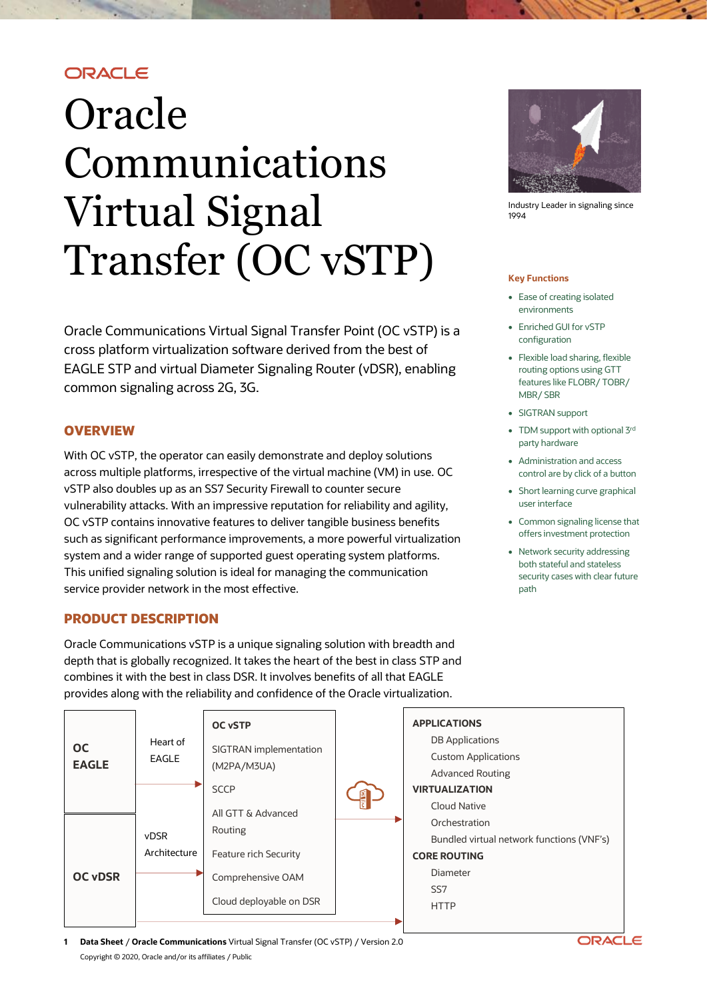# ORACLE

# Oracle Communications Virtual Signal Transfer (OC vSTP)

Oracle Communications Virtual Signal Transfer Point (OC vSTP) is a cross platform virtualization software derived from the best of EAGLE STP and virtual Diameter Signaling Router (vDSR), enabling common signaling across 2G, 3G.

# **OVERVIEW**

With OC vSTP, the operator can easily demonstrate and deploy solutions across multiple platforms, irrespective of the virtual machine (VM) in use. OC vSTP also doubles up as an SS7 Security Firewall to counter secure vulnerability attacks. With an impressive reputation for reliability and agility, OC vSTP contains innovative features to deliver tangible business benefits such as significant performance improvements, a more powerful virtualization system and a wider range of supported guest operating system platforms. This unified signaling solution is ideal for managing the communication service provider network in the most effective.

### **PRODUCT DESCRIPTION**

Oracle Communications vSTP is a unique signaling solution with breadth and depth that is globally recognized. It takes the heart of the best in class STP and combines it with the best in class DSR. It involves benefits of all that EAGLE provides along with the reliability and confidence of the Oracle virtualization.



Industry Leader in signaling since 1994

#### **Key Functions**

- Ease of creating isolated environments
- Enriched GUI for vSTP configuration
- Flexible load sharing, flexible routing options using GTT features like FLOBR/ TOBR/ MBR/ SBR
- SIGTRAN support
- TDM support with optional 3rd party hardware
- Administration and access control are by click of a button
- Short learning curve graphical user interface
- Common signaling license that offers investment protection
- Network security addressing both stateful and stateless security cases with clear future path



**1 Data Sheet** / **Oracle Communications** Virtual Signal Transfer (OC vSTP) / Version 2.0 Copyright © 2020, Oracle and/or its affiliates / Public

ORACLE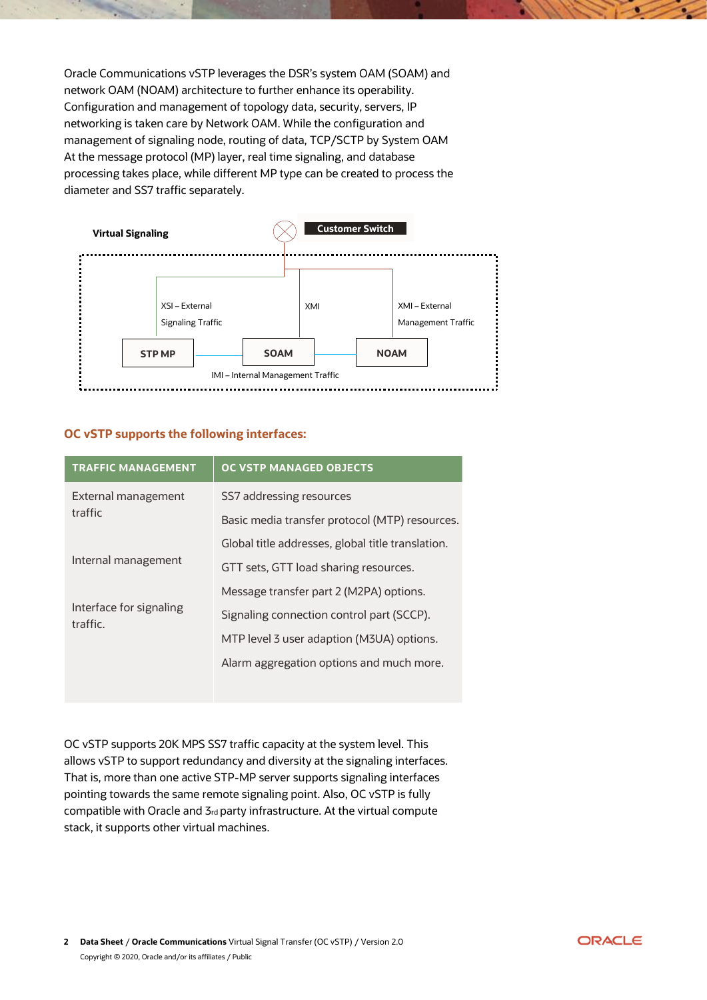Oracle Communications vSTP leverages the DSR's system OAM (SOAM) and network OAM (NOAM) architecture to further enhance its operability. Configuration and management of topology data, security, servers, IP networking is taken care by Network OAM. While the configuration and management of signaling node, routing of data, TCP/SCTP by System OAM. At the message protocol (MP) layer, real time signaling, and database processing takes place, while different MP type can be created to process the diameter and SS7 traffic separately.



## **OC vSTP supports the following interfaces:**

| <b>TRAFFIC MANAGEMENT</b>           | <b>OC VSTP MANAGED OBJECTS</b>                    |  |  |  |  |
|-------------------------------------|---------------------------------------------------|--|--|--|--|
| External management                 | SS7 addressing resources                          |  |  |  |  |
| traffic                             | Basic media transfer protocol (MTP) resources.    |  |  |  |  |
|                                     | Global title addresses, global title translation. |  |  |  |  |
| Internal management                 | GTT sets, GTT load sharing resources.             |  |  |  |  |
|                                     | Message transfer part 2 (M2PA) options.           |  |  |  |  |
| Interface for signaling<br>traffic. | Signaling connection control part (SCCP).         |  |  |  |  |
|                                     | MTP level 3 user adaption (M3UA) options.         |  |  |  |  |
|                                     | Alarm aggregation options and much more.          |  |  |  |  |
|                                     |                                                   |  |  |  |  |

OC vSTP supports 20K MPS SS7 traffic capacity at the system level. This allows vSTP to support redundancy and diversity at the signaling interfaces. That is, more than one active STP-MP server supports signaling interfaces pointing towards the same remote signaling point. Also, OC vSTP is fully compatible with Oracle and 3rd party infrastructure. At the virtual compute stack, it supports other virtual machines.

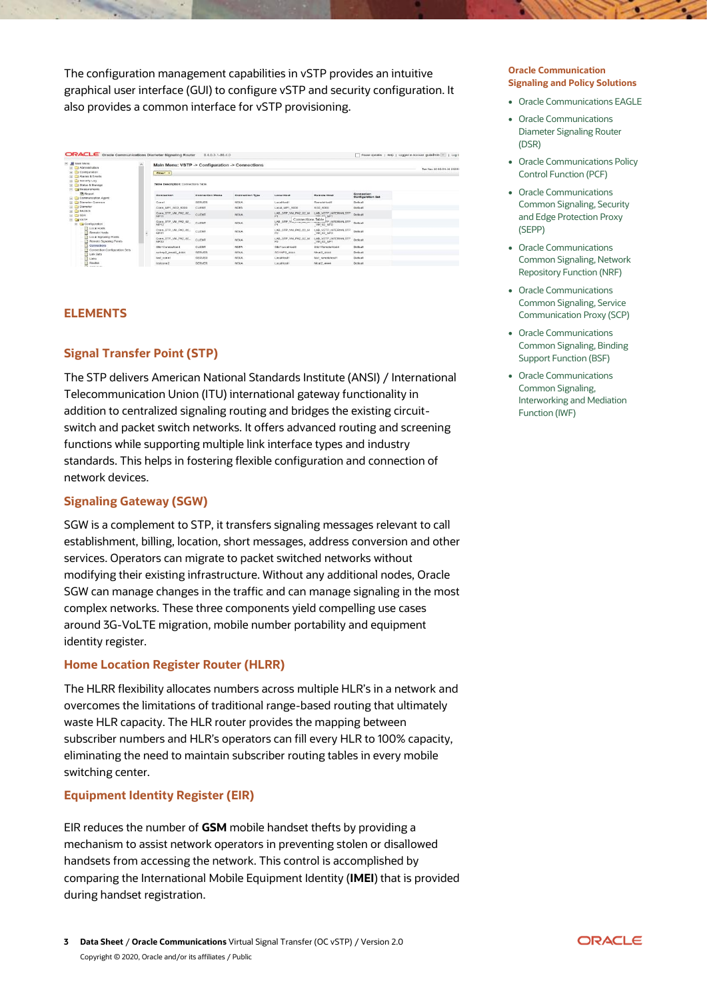The configuration management capabilities in vSTP provides an intuitive graphical user interface (GUI) to configure vSTP and security configuration. It also provides a common interface for vSTP provisioning.

|                                                                                                                                                                                                                                                                 | ORACLE Oracle Communications Diameter Signaling Router<br>8.4.0.3.1-86.4.0 |                                                                                            |                 |                        |                            |                                                        |                                        | Pause Updates   Help   Logged in Account guiadmin <     Log C |  |
|-----------------------------------------------------------------------------------------------------------------------------------------------------------------------------------------------------------------------------------------------------------------|----------------------------------------------------------------------------|--------------------------------------------------------------------------------------------|-----------------|------------------------|----------------------------|--------------------------------------------------------|----------------------------------------|---------------------------------------------------------------|--|
| 民<br><b>M</b> Main Menu<br>$\sim$<br>E J Administration<br>[a] Configuration<br>a) C Atarms & Events                                                                                                                                                            |                                                                            | Main Menu: VSTP -> Configuration -> Connections<br>Tue Nov 10 02:54:16 2020  <br>Filter' - |                 |                        |                            |                                                        |                                        |                                                               |  |
| a) Ca Security Log<br>[a] [ ] Shafurs & Meanwoor<br>F Californians                                                                                                                                                                                              |                                                                            | Table Description: Connections Table                                                       |                 |                        |                            |                                                        |                                        |                                                               |  |
| <b>78 Report</b><br>[a] Communication Agent                                                                                                                                                                                                                     |                                                                            | Connection                                                                                 | Connection Mode | <b>Connection Type</b> | <b>Lineal Host</b>         | <b><i>Remote Host</i></b>                              | Connection<br><b>Configuration Set</b> |                                                               |  |
| Diameter Common<br><b>El Cla Diameter</b><br><b>EL CJ RADIUS</b><br>E C SBR<br><b>FILE VSTP</b><br>Configuration<br><b>D</b> Local Hosts<br>Remote Hosts<br>1 Local Signaling Points<br>Remote Signaling Points<br>Connections<br>Connection Configuration Sets |                                                                            | Conn1                                                                                      | <b>SERVER</b>   | M3LIA                  | LocalHost1                 | Remotel (ps)1                                          | Detaut                                 |                                                               |  |
|                                                                                                                                                                                                                                                                 |                                                                            | Conn MP1 BO2 5000                                                                          | <b>CLEAT</b>    | M2FM                   | Local MP1 5000             | <b>802 6000</b>                                        | <b>Defaut</b>                          |                                                               |  |
|                                                                                                                                                                                                                                                                 |                                                                            | Conn_STP_VM_PA2_02<br><b>BRD44</b>                                                         | <b>CLIENT</b>   | <b>M3LM</b>            | LAB STP VM PA2 02 M<br>Pt. | <b>LAB VSTP_INTERNALSTP.</b><br><b>LIST OR MPS</b>     | Detaur                                 |                                                               |  |
|                                                                                                                                                                                                                                                                 |                                                                            | Conn_STP_VM_PA2_02_<br><b>BADIST</b>                                                       | <b>CLEMT</b>    | <b>M3LM</b>            | Connections Table          | LAB STP Viscons and second P. BITERNALSTP<br>VM 02 MP2 | Default                                |                                                               |  |
|                                                                                                                                                                                                                                                                 |                                                                            | Conn_STP_VM_PA2_02<br>MP21                                                                 | CLERKS.         | M3UA                   | LAB STP VM PA2 02 M<br>P2  | LAB VSTP_INTERNALSTP<br>VM 02 MP2                      | <b>The figure</b>                      |                                                               |  |
|                                                                                                                                                                                                                                                                 |                                                                            | Conn_STP_VM_FA2_02<br>MP22                                                                 | CLENT           | <b>M3UA</b>            | LAB_STP_VM_PA2_02_M        | <b>LAB_VSTP_INTERNALSTP</b><br>VM 02 MP1               | Default                                |                                                               |  |
|                                                                                                                                                                                                                                                                 |                                                                            | Ste1Connectional                                                                           | CLENT           | M2DA                   | SibetLocamsodd             | ShortBemotersout4                                      | Default                                |                                                               |  |
| <b>D</b> Link Sets                                                                                                                                                                                                                                              |                                                                            | so1mp2 meat2 4444                                                                          | <b>SERVER</b>   | <b>M3UA</b>            | 801MP2 4444                | Meat2 4444                                             | Default                                |                                                               |  |
| <b>COLLANS</b>                                                                                                                                                                                                                                                  | test connt                                                                 | <b>SERVER</b>                                                                              | <b>MOUA</b>     | Low at Next 1          | biod remoteboat?           | Default                                                |                                        |                                                               |  |
| <b>1</b> Routes<br><b>Chicago</b> Ave.                                                                                                                                                                                                                          |                                                                            | testconn2                                                                                  | <b>BERVER</b>   | <b>M3LM</b>            | LocalHost1                 | Meat2 4444                                             | Default                                |                                                               |  |

#### **ELEMENTS**

#### **Signal Transfer Point (STP)**

The STP delivers American National Standards Institute (ANSI) / International Telecommunication Union (ITU) international gateway functionality in addition to centralized signaling routing and bridges the existing circuitswitch and packet switch networks. It offers advanced routing and screening functions while supporting multiple link interface types and industry standards. This helps in fostering flexible configuration and connection of network devices.

#### **Signaling Gateway (SGW)**

SGW is a complement to STP, it transfers signaling messages relevant to call establishment, billing, location, short messages, address conversion and other services. Operators can migrate to packet switched networks without modifying their existing infrastructure. Without any additional nodes, Oracle SGW can manage changes in the traffic and can manage signaling in the most complex networks. These three components yield compelling use cases around 3G-VoLTE migration, mobile number portability and equipment identity register.

#### **Home Location Register Router (HLRR)**

The HLRR flexibility allocates numbers across multiple HLR's in a network and overcomes the limitations of traditional range-based routing that ultimately waste HLR capacity. The HLR router provides the mapping between subscriber numbers and HLR's operators can fill every HLR to 100% capacity, eliminating the need to maintain subscriber routing tables in every mobile switching center.

#### **Equipment Identity Register (EIR)**

EIR reduces the number of **GSM** mobile handset thefts by providing a mechanism to assist network operators in preventing stolen or disallowed handsets from accessing the network. This control is accomplished by comparing the International Mobile Equipment Identity (**IMEI**) that is provided during handset registration.

#### **Oracle Communication Signaling and Policy Solutions**

- Oracle Communications EAGLE
- Oracle Communications Diameter Signaling Router (DSR)
- Oracle Communications Policy Control Function (PCF)
- Oracle Communications Common Signaling, Security and Edge Protection Proxy (SEPP)
- Oracle Communications Common Signaling, Network Repository Function (NRF)
- Oracle Communications Common Signaling, Service Communication Proxy (SCP)
- Oracle Communications Common Signaling, Binding Support Function (BSF)
- Oracle Communications Common Signaling, Interworking and Mediation Function (IWF)

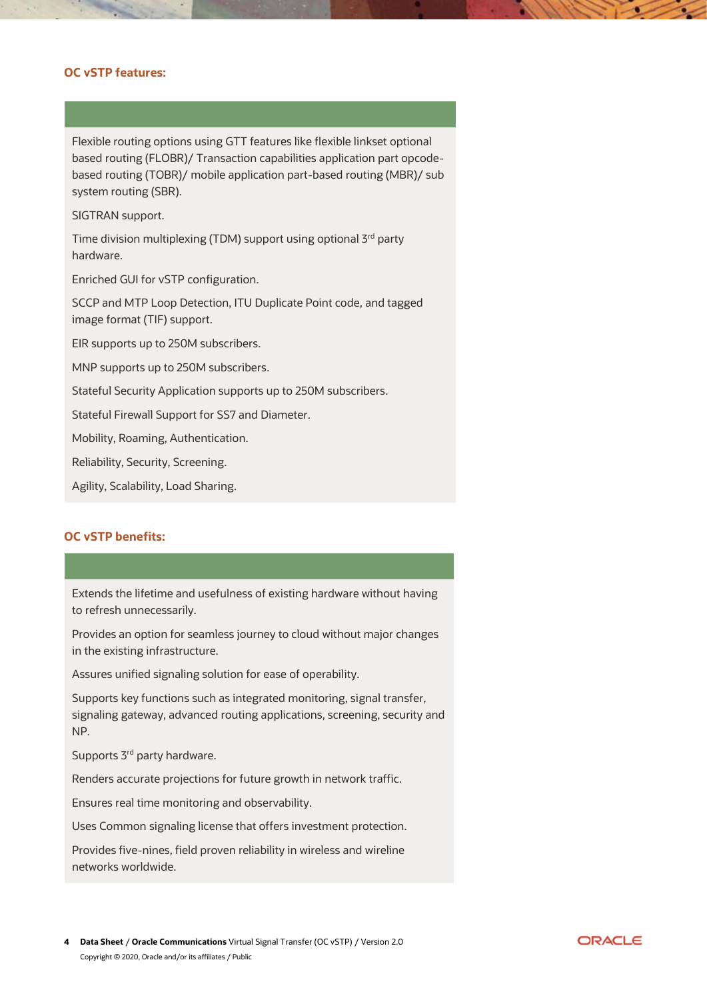# **OC vSTP features:**

Flexible routing options using GTT features like flexible linkset optional based routing (FLOBR)/ Transaction capabilities application part opcodebased routing (TOBR)/ mobile application part-based routing (MBR)/ sub system routing (SBR).

SIGTRAN support.

Time division multiplexing (TDM) support using optional 3rd party hardware.

Enriched GUI for vSTP configuration.

SCCP and MTP Loop Detection, ITU Duplicate Point code, and tagged image format (TIF) support.

EIR supports up to 250M subscribers.

MNP supports up to 250M subscribers.

Stateful Security Application supports up to 250M subscribers.

Stateful Firewall Support for SS7 and Diameter.

Mobility, Roaming, Authentication.

Reliability, Security, Screening.

Agility, Scalability, Load Sharing.

#### **OC vSTP benefits:**

Extends the lifetime and usefulness of existing hardware without having to refresh unnecessarily.

Provides an option for seamless journey to cloud without major changes in the existing infrastructure.

Assures unified signaling solution for ease of operability.

Supports key functions such as integrated monitoring, signal transfer, signaling gateway, advanced routing applications, screening, security and NP.

Supports 3<sup>rd</sup> party hardware.

Renders accurate projections for future growth in network traffic.

Ensures real time monitoring and observability.

Uses Common signaling license that offers investment protection.

Provides five-nines, field proven reliability in wireless and wireline networks worldwide.